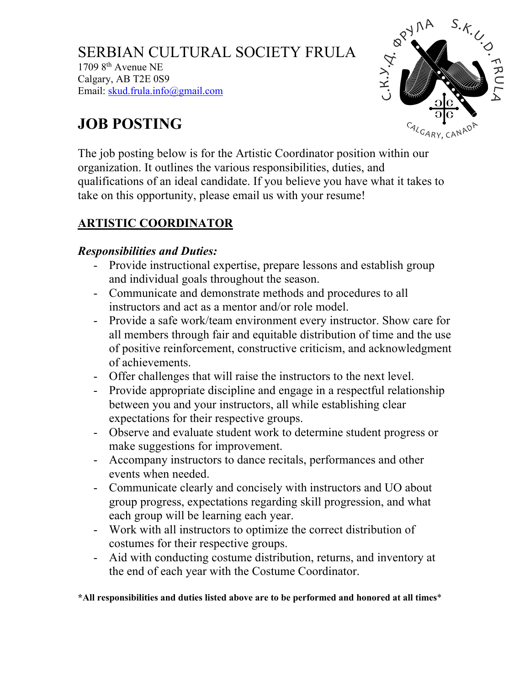SERBIAN CULTURAL SOCIETY FRULA  $17098$ <sup>th</sup> Avenue NE Calgary, AB T2E 0S9 Email: skud.frula.info@gmail.com



# **JOB POSTING**

The job posting below is for the Artistic Coordinator position within our organization. It outlines the various responsibilities, duties, and qualifications of an ideal candidate. If you believe you have what it takes to take on this opportunity, please email us with your resume!

## **ARTISTIC COORDINATOR**

#### *Responsibilities and Duties:*

- Provide instructional expertise, prepare lessons and establish group and individual goals throughout the season.
- Communicate and demonstrate methods and procedures to all instructors and act as a mentor and/or role model.
- Provide a safe work/team environment every instructor. Show care for all members through fair and equitable distribution of time and the use of positive reinforcement, constructive criticism, and acknowledgment of achievements.
- Offer challenges that will raise the instructors to the next level.
- Provide appropriate discipline and engage in a respectful relationship between you and your instructors, all while establishing clear expectations for their respective groups.
- Observe and evaluate student work to determine student progress or make suggestions for improvement.
- Accompany instructors to dance recitals, performances and other events when needed.
- Communicate clearly and concisely with instructors and UO about group progress, expectations regarding skill progression, and what each group will be learning each year.
- Work with all instructors to optimize the correct distribution of costumes for their respective groups.
- Aid with conducting costume distribution, returns, and inventory at the end of each year with the Costume Coordinator.

**\*All responsibilities and duties listed above are to be performed and honored at all times**\*